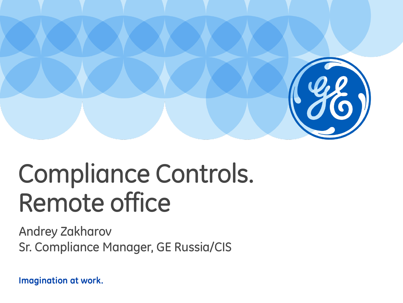

# Compliance Controls. Remote office

Andrey Zakharov Sr. Compliance Manager, GE Russia/CIS

Imagination at work.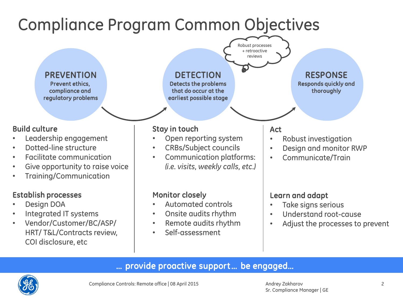

### … provide proactive support … be engaged…

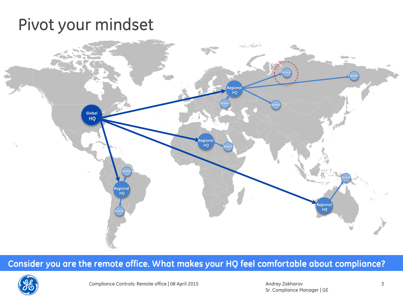# Pivot your mindset



### Consider you are the remote office. What makes your HQ feel comfortable about compliance?

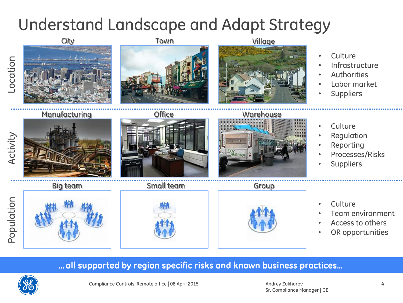# Understand Landscape and Adapt Strategy



### *…* all supported by region specific risks and known business practices…

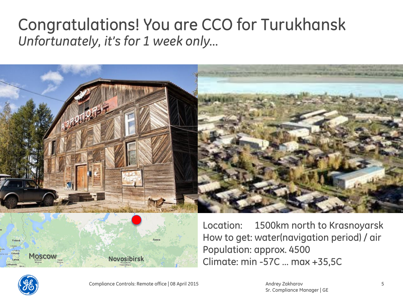# Congratulations! You are CCO for Turukhansk *Unfortunately, it's for 1 week only…*



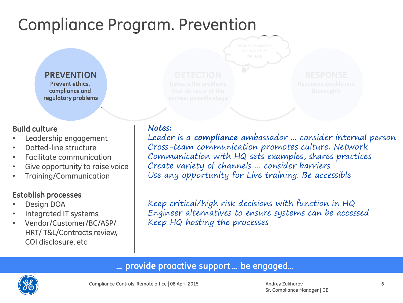# Compliance Program. Prevention

PREVENTION Prevent ethics, compliance and regulatory problems

#### Build culture

- Leadership engagement
- Dotted-line structure
- Facilitate communication
- Give opportunity to raise voice
- Training/Communication

### Establish processes

- Design DOA
- Integrated IT systems
- Vendor/Customer/BC/ASP/ HRT/ T&L/Contracts review, COI disclosure, etc

**Notes:** Leader is a **compliance** ambassador ... consider internal person Cross-team communication promotes culture. Network Communication with HQ sets examples, shares practices Create variety of channels … consider barriers Use any opportunity for Live training. Be accessible

Keep critical/high risk decisions with function in HQ Engineer alternatives to ensure systems can be accessed Keep HQ hosting the processes

### … provide proactive support … be engaged…

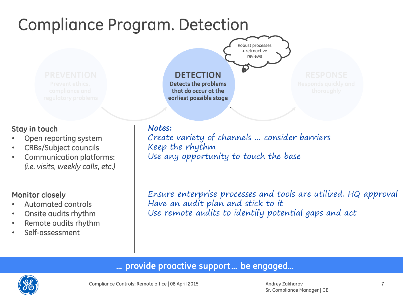# Compliance Program. Detection

#### **DETECTION** Detects the problems that do occur at the earliest possible stage

#### Stay in touch

- Open reporting system
- CRBs/Subject councils
- Communication platforms: *(i.e. visits, weekly calls, etc.)*

#### Monitor closely

- Automated controls
- Onsite audits rhythm
- Remote audits rhythm
- Self-assessment

**Notes:** Create variety of channels … consider barriers Keep the rhythm Use any opportunity to touch the base

Robust processes + retroactive reviews

Ensure enterprise processes and tools are utilized. HQ approval Have an audit plan and stick to it Use remote audits to identify potential gaps and act

## … provide proactive support … be engaged…



Andrey Zakharov Sr. Compliance Manager | GE